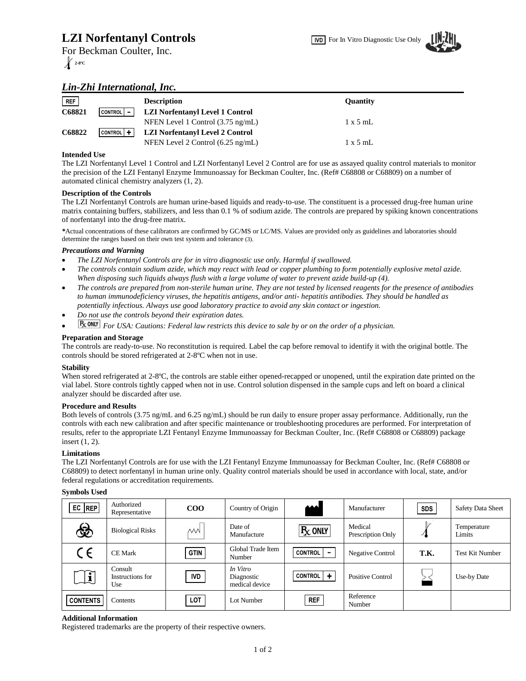# **LZI Norfentanyl Controls**

For Beckman Coulter, Inc. **2-8ºC**



## *Lin-Zhi International, Inc.*

| <b>REF</b> |                   | <b>Description</b>                          | <b>Ouantity</b> |
|------------|-------------------|---------------------------------------------|-----------------|
| C68821     | CONTROL   -       | <b>LZI Norfentanyl Level 1 Control</b>      |                 |
|            |                   | NFEN Level 1 Control $(3.75 \text{ ng/mL})$ | $1 \times 5$ mL |
| C68822     | $ $ CONTROL $ $ + | <b>LZI Norfentanyl Level 2 Control</b>      |                 |
|            |                   | NFEN Level 2 Control $(6.25 \text{ ng/mL})$ | $1 \times 5$ mL |

## **Intended Use**

The LZI Norfentanyl Level 1 Control and LZI Norfentanyl Level 2 Control are for use as assayed quality control materials to monitor the precision of the LZI Fentanyl Enzyme Immunoassay for Beckman Coulter, Inc. (Ref# C68808 or C68809) on a number of automated clinical chemistry analyzers (1, 2).

## **Description of the Controls**

The LZI Norfentanyl Controls are human urine-based liquids and ready-to-use. The constituent is a processed drug-free human urine matrix containing buffers, stabilizers, and less than 0.1 % of sodium azide. The controls are prepared by spiking known concentrations of norfentanyl into the drug-free matrix.

*\**Actual concentrations of these calibrators are confirmed by GC/MS or LC/MS. Values are provided only as guidelines and laboratories should determine the ranges based on their own test system and tolerance (3).

#### *Precautions and Warning*

- *The LZI Norfentanyl Controls are for in vitro diagnostic use only. Harmful if swallowed.*
- *The controls contain sodium azide, which may react with lead or copper plumbing to form potentially explosive metal azide. When disposing such liquids always flush with a large volume of water to prevent azide build-up (4).*
- *The controls are prepared from non-sterile human urine. They are not tested by licensed reagents for the presence of antibodies to human immunodeficiency viruses, the hepatitis antigens, and/or anti- hepatitis antibodies. They should be handled as potentially infectious. Always use good laboratory practice to avoid any skin contact or ingestion.*
- *Do not use the controls beyond their expiration dates.*
- **F**<sub>*x*</sub> *C<sub><i>M*</sub><sup>*H*</sup>*For USA: Cautions: Federal law restricts this device to sale by or on the order of a physician.*

#### **Preparation and Storage**

The controls are ready-to-use. No reconstitution is required. Label the cap before removal to identify it with the original bottle. The controls should be stored refrigerated at 2-8ºC when not in use.

#### **Stability**

When stored refrigerated at 2-8°C, the controls are stable either opened-recapped or unopened, until the expiration date printed on the vial label. Store controls tightly capped when not in use. Control solution dispensed in the sample cups and left on board a clinical analyzer should be discarded after use.

#### **Procedure and Results**

Both levels of controls (3.75 ng/mL and 6.25 ng/mL) should be run daily to ensure proper assay performance. Additionally, run the controls with each new calibration and after specific maintenance or troubleshooting procedures are performed. For interpretation of results, refer to the appropriate LZI Fentanyl Enzyme Immunoassay for Beckman Coulter, Inc. (Ref# C68808 or C68809) package insert (1, 2).

## **Limitations**

The LZI Norfentanyl Controls are for use with the LZI Fentanyl Enzyme Immunoassay for Beckman Coulter, Inc. (Ref# C68808 or C68809) to detect norfentanyl in human urine only. Quality control materials should be used in accordance with local, state, and/or federal regulations or accreditation requirements.

#### **Symbols Used**

| $EC$ REP        | Authorized<br>Representative       | $\rm{COO}$  | Country of Origin                        | الممه          | Manufacturer                 | <b>SDS</b> | <b>Safety Data Sheet</b> |
|-----------------|------------------------------------|-------------|------------------------------------------|----------------|------------------------------|------------|--------------------------|
| ෯               | <b>Biological Risks</b>            | VVV         | Date of<br>Manufacture                   | $R_X$ ONLY     | Medical<br>Prescription Only |            | Temperature<br>Limits    |
| $\zeta$ $\in$   | <b>CE Mark</b>                     | <b>GTIN</b> | Global Trade Item<br>Number              | <b>CONTROL</b> | <b>Negative Control</b>      | T.K.       | <b>Test Kit Number</b>   |
| ļi              | Consult<br>Instructions for<br>Use | <b>IVD</b>  | In Vitro<br>Diagnostic<br>medical device | CONTROL   +    | Positive Control             |            | Use-by Date              |
| <b>CONTENTS</b> | Contents                           | LOT         | Lot Number                               | <b>REF</b>     | Reference<br>Number          |            |                          |

#### **Additional Information**

Registered trademarks are the property of their respective owners.